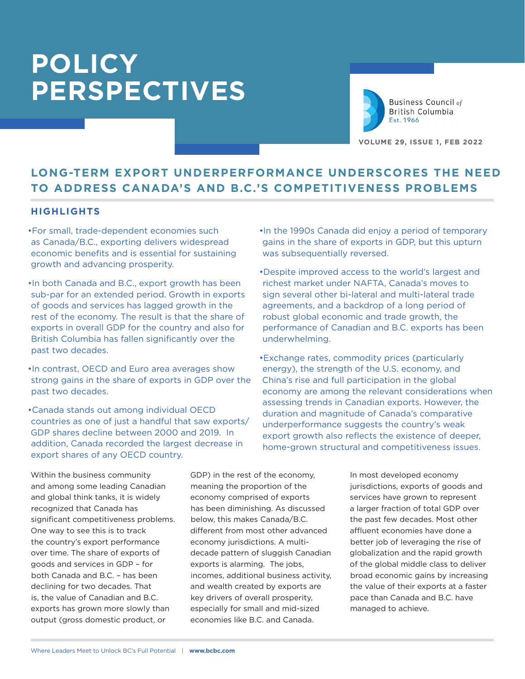

Business Council of British Columbia Est. 1966

**VOLUME 29, ISSUE 1, FEB 2022**

# **LONG-TERM EXPORT UNDERPERFORMANCE UNDERSCORES THE NEED TO ADDRESS CANADA'S AND B.C.'S COMPETITIVENESS PROBLEMS**

## **HIGHLIGHTS**

- •For small, trade-dependent economies such as Canada/B.C., exporting delivers widespread economic benefits and is essential for sustaining growth and advancing prosperity.
- •In both Canada and B.C., export growth has been sub-par for an extended period. Growth in exports of goods and services has lagged growth in the rest of the economy. The result is that the share of exports in overall GDP for the country and also for British Columbia has fallen significantly over the past two decades.
- •In contrast, OECD and Euro area averages show strong gains in the share of exports in GDP over the past two decades.
- •Canada stands out among individual OECD countries as one of just a handful that saw exports/ GDP shares decline between 2000 and 2019. In addition, Canada recorded the largest decrease in export shares of any OECD country.
- •In the 1990s Canada did enjoy a period of temporary gains in the share of exports in GDP, but this upturn was subsequentially reversed.
- •Despite improved access to the world's largest and richest market under NAFTA, Canada's moves to sign several other bi-lateral and multi-lateral trade agreements, and a backdrop of a long period of robust global economic and trade growth, the performance of Canadian and B.C. exports has been underwhelming.
- •Exchange rates, commodity prices (particularly energy), the strength of the U.S. economy, and China's rise and full participation in the global economy are among the relevant considerations when assessing trends in Canadian exports. However, the duration and magnitude of Canada's comparative underperformance suggests the country's weak export growth also reflects the existence of deeper, home-grown structural and competitiveness issues.

Within the business community and among some leading Canadian and global think tanks, it is widely recognized that Canada has significant competitiveness problems. One way to see this is to track the country's export performance over time. The share of exports of goods and services in GDP – for both Canada and B.C. – has been declining for two decades. That is, the value of Canadian and B.C. exports has grown more slowly than output (gross domestic product, or

GDP) in the rest of the economy, meaning the proportion of the economy comprised of exports has been diminishing. As discussed below, this makes Canada/B.C. different from most other advanced economy jurisdictions. A multidecade pattern of sluggish Canadian exports is alarming. The jobs, incomes, additional business activity, and wealth created by exports are key drivers of overall prosperity, especially for small and mid-sized economies like B.C. and Canada.

In most developed economy jurisdictions, exports of goods and services have grown to represent a larger fraction of total GDP over the past few decades. Most other affluent economies have done a better job of leveraging the rise of globalization and the rapid growth of the global middle class to deliver broad economic gains by increasing the value of their exports at a faster pace than Canada and B.C. have managed to achieve.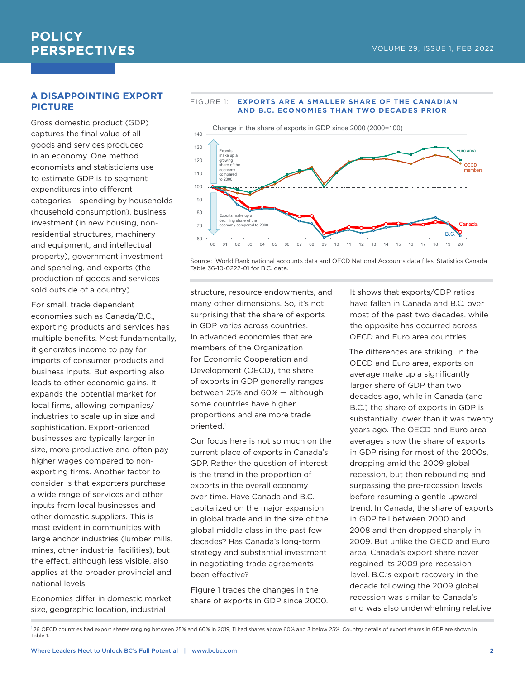## **A DISAPPOINTING EXPORT PICTURE**

Gross domestic product (GDP) captures the final value of all goods and services produced in an economy. One method economists and statisticians use to estimate GDP is to segment expenditures into different categories – spending by households (household consumption), business investment (in new housing, nonresidential structures, machinery and equipment, and intellectual property), government investment and spending, and exports (the production of goods and services sold outside of a country).

For small, trade dependent economies such as Canada/B.C., exporting products and services has multiple benefits. Most fundamentally, it generates income to pay for imports of consumer products and business inputs. But exporting also leads to other economic gains. It expands the potential market for local firms, allowing companies/ industries to scale up in size and sophistication. Export-oriented businesses are typically larger in size, more productive and often pay higher wages compared to nonexporting firms. Another factor to consider is that exporters purchase a wide range of services and other inputs from local businesses and other domestic suppliers. This is most evident in communities with large anchor industries (lumber mills, mines, other industrial facilities), but the effect, although less visible, also applies at the broader provincial and national levels.

Economies differ in domestic market size, geographic location, industrial



#### FIGURE 1: **EXPORTS ARE A SMALLER SHARE OF THE CANADIAN AND B.C. ECONOMIES THAN TWO DECADES PRIOR**

Source: World Bank national accounts data and OECD National Accounts data files. Statistics Canada Table 36-10-0222-01 for B.C. data.

structure, resource endowments, and many other dimensions. So, it's not surprising that the share of exports in GDP varies across countries. In advanced economies that are members of the Organization for Economic Cooperation and Development (OECD), the share of exports in GDP generally ranges between 25% and 60% — although some countries have higher proportions and are more trade oriented.1

Our focus here is not so much on the current place of exports in Canada's GDP. Rather the question of interest is the trend in the proportion of exports in the overall economy over time. Have Canada and B.C. capitalized on the major expansion in global trade and in the size of the global middle class in the past few decades? Has Canada's long-term strategy and substantial investment in negotiating trade agreements been effective?

Figure 1 traces the changes in the share of exports in GDP since 2000. It shows that exports/GDP ratios have fallen in Canada and B.C. over most of the past two decades, while the opposite has occurred across OECD and Euro area countries.

The differences are striking. In the OECD and Euro area, exports on average make up a significantly larger share of GDP than two decades ago, while in Canada (and B.C.) the share of exports in GDP is substantially lower than it was twenty years ago. The OECD and Euro area averages show the share of exports in GDP rising for most of the 2000s, dropping amid the 2009 global recession, but then rebounding and surpassing the pre-recession levels before resuming a gentle upward trend. In Canada, the share of exports in GDP fell between 2000 and 2008 and then dropped sharply in 2009. But unlike the OECD and Euro area, Canada's export share never regained its 2009 pre-recession level. B.C.'s export recovery in the decade following the 2009 global recession was similar to Canada's and was also underwhelming relative

<sup>&</sup>lt;sup>1</sup>26 OECD countries had export shares ranging between 25% and 60% in 2019, 11 had shares above 60% and 3 below 25%. Country details of export shares in GDP are shown in Table 1.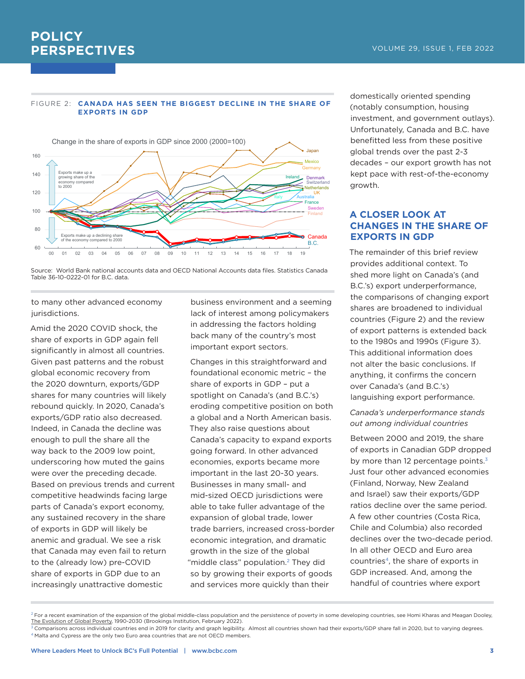#### FIGURE 2: **CANADA HAS SEEN THE BIGGEST DECLINE IN THE SHARE OF EXPORTS IN GDP**



Source: World Bank national accounts data and OECD National Accounts data files. Statistics Canada Table 36-10-0222-01 for B.C. data.

to many other advanced economy jurisdictions.

Amid the 2020 COVID shock, the share of exports in GDP again fell significantly in almost all countries. Given past patterns and the robust global economic recovery from the 2020 downturn, exports/GDP shares for many countries will likely rebound quickly. In 2020, Canada's exports/GDP ratio also decreased. Indeed, in Canada the decline was enough to pull the share all the way back to the 2009 low point, underscoring how muted the gains were over the preceding decade. Based on previous trends and current competitive headwinds facing large parts of Canada's export economy, any sustained recovery in the share of exports in GDP will likely be anemic and gradual. We see a risk that Canada may even fail to return to the (already low) pre-COVID share of exports in GDP due to an increasingly unattractive domestic

business environment and a seeming lack of interest among policymakers in addressing the factors holding back many of the country's most important export sectors.

Changes in this straightforward and foundational economic metric – the share of exports in GDP – put a spotlight on Canada's (and B.C.'s) eroding competitive position on both a global and a North American basis. They also raise questions about Canada's capacity to expand exports going forward. In other advanced economies, exports became more important in the last 20-30 years. Businesses in many small- and mid-sized OECD jurisdictions were able to take fuller advantage of the expansion of global trade, lower trade barriers, increased cross-border economic integration, and dramatic growth in the size of the global "middle class" population.<sup>2</sup> They did so by growing their exports of goods and services more quickly than their

domestically oriented spending (notably consumption, housing investment, and government outlays). Unfortunately, Canada and B.C. have benefitted less from these positive global trends over the past 2-3 decades – our export growth has not kept pace with rest-of-the-economy growth.

## **A CLOSER LOOK AT CHANGES IN THE SHARE OF EXPORTS IN GDP**

The remainder of this brief review provides additional context. To shed more light on Canada's (and B.C.'s) export underperformance, the comparisons of changing export shares are broadened to individual countries (Figure 2) and the review of export patterns is extended back to the 1980s and 1990s (Figure 3). This additional information does not alter the basic conclusions. If anything, it confirms the concern over Canada's (and B.C.'s) languishing export performance.

#### *Canada's underperformance stands out among individual countries*

Between 2000 and 2019, the share of exports in Canadian GDP dropped by more than 12 percentage points. $3$ Just four other advanced economies (Finland, Norway, New Zealand and Israel) saw their exports/GDP ratios decline over the same period. A few other countries (Costa Rica, Chile and Columbia) also recorded declines over the two-decade period. In all other OECD and Euro area countries<sup>4</sup>, the share of exports in GDP increased. And, among the handful of countries where export

 $^2$  For a recent examination of the expansion of the global middle-class population and the persistence of poverty in some developing countries, see Homi Kharas and Meagan Dooley, The Evolution of Global Poverty, 1990-2030 (Brookings Institution, February 2022).

 $^3$  Comparisons across individual countries end in 2019 for clarity and graph legibility. Almost all countries shown had their exports/GDP share fall in 2020, but to varying degrees.  $4$  Malta and Cypress are the only two Euro area countries that are not OECD members.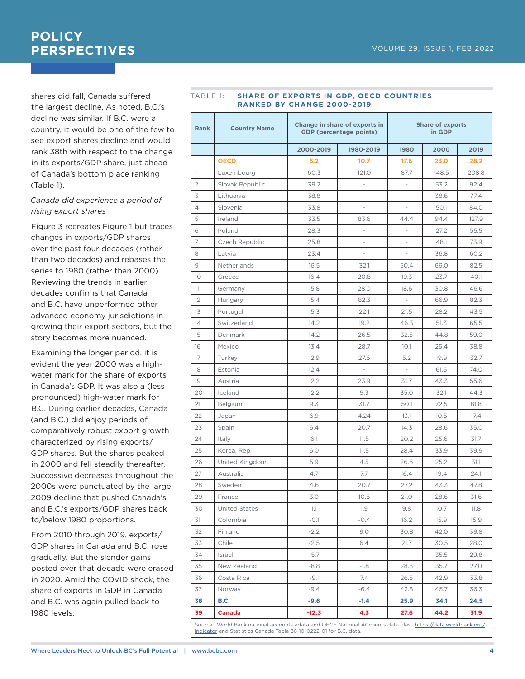shares did fall, Canada suffered the largest decline. As noted, B.C.'s decline was similar. If B.C. were a country, it would be one of the few to see export shares decline and would rank 38th with respect to the change in its exports/GDP share, just ahead of Canada's bottom place ranking (Table 1).

### *Canada did experience a period of rising export shares*

Figure 3 recreates Figure 1 but traces changes in exports/GDP shares over the past four decades (rather than two decades) and rebases the series to 1980 (rather than 2000). Reviewing the trends in earlier decades confirms that Canada and B.C. have unperformed other advanced economy jurisdictions in growing their export sectors, but the story becomes more nuanced.

Examining the longer period, it is evident the year 2000 was a highwater mark for the share of exports in Canada's GDP. It was also a (less pronounced) high-water mark for B.C. During earlier decades, Canada (and B.C.) did enjoy periods of comparatively robust export growth characterized by rising exports/ GDP shares. But the shares peaked in 2000 and fell steadily thereafter. Successive decreases throughout the 2000s were punctuated by the large 2009 decline that pushed Canada's and B.C.'s exports/GDP shares back to/below 1980 proportions.

From 2010 through 2019, exports/ GDP shares in Canada and B.C. rose gradually. But the slender gains posted over that decade were erased in 2020. Amid the COVID shock, the share of exports in GDP in Canada and B.C. was again pulled back to 1980 levels.

#### TABLE 1: **SHARE OF EXPORTS IN GDP, OECD COUNTRIES RANKED BY CHANGE 2000-2019**

| <b>Rank</b>    | <b>Country Name</b> | Change in share of exports in<br><b>GDP</b> (percentage points) |                          | <b>Share of exports</b><br>in GDP |       |       |
|----------------|---------------------|-----------------------------------------------------------------|--------------------------|-----------------------------------|-------|-------|
|                |                     | 2000-2019                                                       | 1980-2019                | 1980                              | 2000  | 2019  |
|                | <b>OECD</b>         | 5.2                                                             | 10.7                     | 17.6                              | 23.0  | 28.2  |
| 1              | Luxembourg          | 60.3                                                            | 121.0                    | 87.7                              | 148.5 | 208.8 |
| $\overline{2}$ | Slovak Republic     | 39.2                                                            | ÷                        | $\overline{\phantom{m}}$          | 53.2  | 92.4  |
| 3              | Lithuania           | 38.8                                                            | $\overline{\phantom{m}}$ | $\centering \label{eq:reduced}$   | 38.6  | 77.4  |
| $\overline{4}$ | Slovenia            | 33.8                                                            | $\overline{a}$           |                                   | 50.1  | 84.0  |
| 5              | Ireland             | 33.5                                                            | 83.6                     | 44.4                              | 94.4  | 127.9 |
| 6              | Poland              | 28.3                                                            | ÷                        | $\overline{\phantom{m}}$          | 27.2  | 55.5  |
| 7              | Czech Republic      | 25.8                                                            | $\overline{\phantom{m}}$ | $\overline{a}$                    | 48.1  | 73.9  |
| 8              | Latvia              | 23.4                                                            | $\overline{\phantom{0}}$ |                                   | 36.8  | 60.2  |
| $\mathcal{Q}$  | Netherlands         | 16.5                                                            | 32.1                     | 50.4                              | 66.0  | 82.5  |
| 10             | Greece              | 16.4                                                            | 20.8                     | 19.3                              | 23.7  | 40.1  |
| 11             | Germany             | 15.8                                                            | 28.0                     | 18.6                              | 30.8  | 46.6  |
| 12             | Hungary             | 15.4                                                            | 82.3                     |                                   | 66.9  | 82.3  |
| 13             | Portugal            | 15.3                                                            | 22.1                     | 21.5                              | 28.2  | 43.5  |
| 14             | Switzerland         | 14.2                                                            | 19.2                     | 46.3                              | 51.3  | 65.5  |
| 15             | Denmark             | 14.2                                                            | 26.5                     | 32.5                              | 44.8  | 59.0  |
| 16             | Mexico              | 13.4                                                            | 28.7                     | 10.1                              | 25.4  | 38.8  |
| 17             | Turkey              | 12.9                                                            | 27.6                     | 5.2                               | 19.9  | 32.7  |
| 18             | Estonia             | 12.4                                                            | i,                       | $\overline{\phantom{m}}$          | 61.6  | 74.0  |
| 19             | Austria             | 12.2                                                            | 23.9                     | 31.7                              | 43.3  | 55.6  |
| 20             | Iceland             | 12.2                                                            | 9.3                      | 35.0                              | 32.1  | 44.3  |
| 21             | Belgium             | 9.3                                                             | 31.7                     | 50.1                              | 72.5  | 81.8  |
| 22             | Japan               | 6.9                                                             | 4.24                     | 13.1                              | 10.5  | 17.4  |
| 23             | Spain               | 6.4                                                             | 20.7                     | 14.3                              | 28.6  | 35.0  |
| 24             | Italy               | 6.1                                                             | 11.5                     | 20.2                              | 25.6  | 31.7  |
| 25             | Korea, Rep.         | 6.0                                                             | 11.5                     | 28.4                              | 33.9  | 39.9  |
| 26             | United Kingdom      | 5.9                                                             | 4.5                      | 26.6                              | 25.2  | 31.1  |
| 27             | Australia           | 4.7                                                             | 7.7                      | 16.4                              | 19.4  | 24.1  |
| 28             | Sweden              | 4.6                                                             | 20.7                     | 27.2                              | 43.3  | 47.8  |
| 29             | France              | 3.0                                                             | 10.6                     | 21.0                              | 28.6  | 31.6  |
| 30             | United States       | 1.1                                                             | 1.9                      | 9.8                               | 10.7  | 11.8  |
| 31             | Colombia            | $-0.1$                                                          | $-0.4$                   | 16.2                              | 15.9  | 15.9  |
| 32             | Finland             | $-2.2$                                                          | 9.0                      | 30.8                              | 42.0  | 39.8  |
| 33             | Chile               | $-2.5$                                                          | 6.4                      | 21.7                              | 30.5  | 28.0  |
| 34             | Israel              | $-5.7$                                                          | $\overline{\phantom{a}}$ |                                   | 35.5  | 29.8  |
| 35             | New Zealand         | $-8.8$                                                          | $-1.8$                   | 28.8                              | 35.7  | 27.0  |
| 36             | Costa Rica          | -9.1                                                            | 7.4                      | 26.5                              | 42.9  | 33.8  |
| 37             | Norway              | $-9.4$                                                          | $-6.4$                   | 42.8                              | 45.7  | 36.3  |
| 38             | B.C.                | $-9.6$                                                          | $-1.4$                   | 25.9                              | 34.1  | 24.5  |
| 39             | <b>Canada</b>       | $-12.3$                                                         | 4.3                      | 27.6                              | 44.2  | 31.9  |

Source: World Bank national accounts adata and OECE National ACcounts data files. <u>[https://data.worldbank.org/](https://data.worldbank.org/indicator)</u><br><u>indicator</u> and Statistics Canada Table 36-10-0222-01 for B.C. data.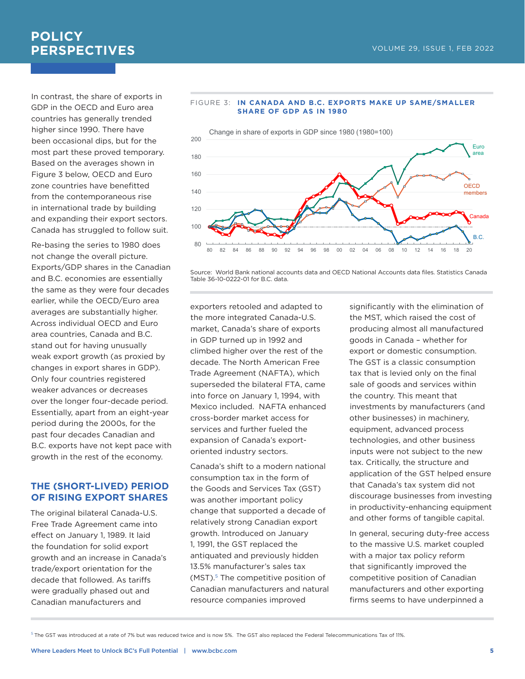## **POLICY PERSPECTIVES VOLUME 29, ISSUE 1, FEB 2022**

In contrast, the share of exports in GDP in the OECD and Euro area countries has generally trended higher since 1990. There have been occasional dips, but for the most part these proved temporary. Based on the averages shown in Figure 3 below, OECD and Euro zone countries have benefitted from the contemporaneous rise in international trade by building and expanding their export sectors. Canada has struggled to follow suit.

Re-basing the series to 1980 does not change the overall picture. Exports/GDP shares in the Canadian and B.C. economies are essentially the same as they were four decades earlier, while the OECD/Euro area averages are substantially higher. Across individual OECD and Euro area countries, Canada and B.C. stand out for having unusually weak export growth (as proxied by changes in export shares in GDP). Only four countries registered weaker advances or decreases over the longer four-decade period. Essentially, apart from an eight-year period during the 2000s, for the past four decades Canadian and B.C. exports have not kept pace with growth in the rest of the economy.

### **THE (SHORT-LIVED) PERIOD OF RISING EXPORT SHARES**

The original bilateral Canada-U.S. Free Trade Agreement came into effect on January 1, 1989. It laid the foundation for solid export growth and an increase in Canada's trade/export orientation for the decade that followed. As tariffs were gradually phased out and Canadian manufacturers and



#### FIGURE 3: **IN CANADA AND B.C. EXPORTS MAKE UP SAME/SMALLER SHARE OF GDP AS IN 1980**

Source: World Bank national accounts data and OECD National Accounts data files. Statistics Canada Table 36-10-0222-01 for B.C. data.

exporters retooled and adapted to the more integrated Canada-U.S. market, Canada's share of exports in GDP turned up in 1992 and climbed higher over the rest of the decade. The North American Free Trade Agreement (NAFTA), which superseded the bilateral FTA, came into force on January 1, 1994, with Mexico included. NAFTA enhanced cross-border market access for services and further fueled the expansion of Canada's exportoriented industry sectors.

Canada's shift to a modern national consumption tax in the form of the Goods and Services Tax (GST) was another important policy change that supported a decade of relatively strong Canadian export growth. Introduced on January 1, 1991, the GST replaced the antiquated and previously hidden 13.5% manufacturer's sales tax (MST).<sup>5</sup> The competitive position of Canadian manufacturers and natural resource companies improved

significantly with the elimination of the MST, which raised the cost of producing almost all manufactured goods in Canada – whether for export or domestic consumption. The GST is a classic consumption tax that is levied only on the final sale of goods and services within the country. This meant that investments by manufacturers (and other businesses) in machinery, equipment, advanced process technologies, and other business inputs were not subject to the new tax. Critically, the structure and application of the GST helped ensure that Canada's tax system did not discourage businesses from investing in productivity-enhancing equipment and other forms of tangible capital.

In general, securing duty-free access to the massive U.S. market coupled with a major tax policy reform that significantly improved the competitive position of Canadian manufacturers and other exporting firms seems to have underpinned a

<sup>5</sup> The GST was introduced at a rate of 7% but was reduced twice and is now 5%. The GST also replaced the Federal Telecommunications Tax of 11%.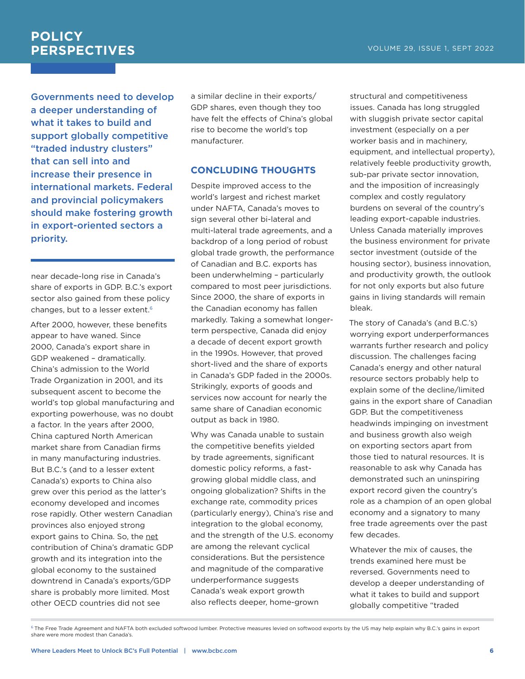Governments need to develop a deeper understanding of what it takes to build and support globally competitive "traded industry clusters" that can sell into and increase their presence in international markets. Federal and provincial policymakers should make fostering growth in export-oriented sectors a priority.

near decade-long rise in Canada's share of exports in GDP. B.C.'s export sector also gained from these policy changes, but to a lesser extent.<sup>6</sup>

After 2000, however, these benefits appear to have waned. Since 2000, Canada's export share in GDP weakened – dramatically. China's admission to the World Trade Organization in 2001, and its subsequent ascent to become the world's top global manufacturing and exporting powerhouse, was no doubt a factor. In the years after 2000, China captured North American market share from Canadian firms in many manufacturing industries. But B.C.'s (and to a lesser extent Canada's) exports to China also grew over this period as the latter's economy developed and incomes rose rapidly. Other western Canadian provinces also enjoyed strong export gains to China. So, the net contribution of China's dramatic GDP growth and its integration into the global economy to the sustained downtrend in Canada's exports/GDP share is probably more limited. Most other OECD countries did not see

a similar decline in their exports/ GDP shares, even though they too have felt the effects of China's global rise to become the world's top manufacturer.

### **CONCLUDING THOUGHTS**

Despite improved access to the world's largest and richest market under NAFTA, Canada's moves to sign several other bi-lateral and multi-lateral trade agreements, and a backdrop of a long period of robust global trade growth, the performance of Canadian and B.C. exports has been underwhelming – particularly compared to most peer jurisdictions. Since 2000, the share of exports in the Canadian economy has fallen markedly. Taking a somewhat longerterm perspective, Canada did enjoy a decade of decent export growth in the 1990s. However, that proved short-lived and the share of exports in Canada's GDP faded in the 2000s. Strikingly, exports of goods and services now account for nearly the same share of Canadian economic output as back in 1980.

Why was Canada unable to sustain the competitive benefits yielded by trade agreements, significant domestic policy reforms, a fastgrowing global middle class, and ongoing globalization? Shifts in the exchange rate, commodity prices (particularly energy), China's rise and integration to the global economy, and the strength of the U.S. economy are among the relevant cyclical considerations. But the persistence and magnitude of the comparative underperformance suggests Canada's weak export growth also reflects deeper, home-grown

structural and competitiveness issues. Canada has long struggled with sluggish private sector capital investment (especially on a per worker basis and in machinery, equipment, and intellectual property), relatively feeble productivity growth, sub-par private sector innovation, and the imposition of increasingly complex and costly regulatory burdens on several of the country's leading export-capable industries. Unless Canada materially improves the business environment for private sector investment (outside of the housing sector), business innovation, and productivity growth, the outlook for not only exports but also future gains in living standards will remain bleak.

The story of Canada's (and B.C.'s) worrying export underperformances warrants further research and policy discussion. The challenges facing Canada's energy and other natural resource sectors probably help to explain some of the decline/limited gains in the export share of Canadian GDP. But the competitiveness headwinds impinging on investment and business growth also weigh on exporting sectors apart from those tied to natural resources. It is reasonable to ask why Canada has demonstrated such an uninspiring export record given the country's role as a champion of an open global economy and a signatory to many free trade agreements over the past few decades.

Whatever the mix of causes, the trends examined here must be reversed. Governments need to develop a deeper understanding of what it takes to build and support globally competitive "traded

 $^6$  The Free Trade Agreement and NAFTA both excluded softwood lumber. Protective measures levied on softwood exports by the US may help explain why B.C.'s gains in export share were more modest than Canada's.